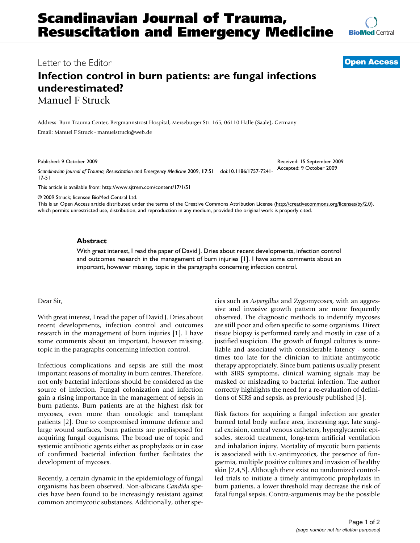

Letter to the Editor **[Open Access](http://www.biomedcentral.com/info/about/charter/)**

# **Infection control in burn patients: are fungal infections underestimated?** Manuel F Struck

Address: Burn Trauma Center, Bergmannstrost Hospital, Merseburger Str. 165, 06110 Halle (Saale), Germany Email: Manuel F Struck - manuelstruck@web.de

Published: 9 October 2009

*Scandinavian Journal of Trauma, Resuscitation and Emergency Medicine* 2009, **17**:51 doi:10.1186/1757-7241- 17-51 Accepted: 9 October 2009

[This article is available from: http://www.sjtrem.com/content/17/1/51](http://www.sjtrem.com/content/17/1/51)

© 2009 Struck; licensee BioMed Central Ltd.

This is an Open Access article distributed under the terms of the Creative Commons Attribution License [\(http://creativecommons.org/licenses/by/2.0\)](http://creativecommons.org/licenses/by/2.0), which permits unrestricted use, distribution, and reproduction in any medium, provided the original work is properly cited.

## **Abstract**

With great interest, I read the paper of David J. Dries about recent developments, infection control and outcomes research in the management of burn injuries [1]. I have some comments about an important, however missing, topic in the paragraphs concerning infection control.

## Dear Sir,

With great interest, I read the paper of David J. Dries about recent developments, infection control and outcomes research in the management of burn injuries [1]. I have some comments about an important, however missing, topic in the paragraphs concerning infection control.

Infectious complications and sepsis are still the most important reasons of mortality in burn centres. Therefore, not only bacterial infections should be considered as the source of infection. Fungal colonization and infection gain a rising importance in the management of sepsis in burn patients. Burn patients are at the highest risk for mycoses, even more than oncologic and transplant patients [2]. Due to compromised immune defence and large wound surfaces, burn patients are predisposed for acquiring fungal organisms. The broad use of topic and systemic antibiotic agents either as prophylaxis or in case of confirmed bacterial infection further facilitates the development of mycoses.

Recently, a certain dynamic in the epidemiology of fungal organisms has been observed. Non-albicans *Candida* species have been found to be increasingly resistant against common antimycotic substances. Additionally, other species such as *Aspergillus* and Zygomycoses, with an aggressive and invasive growth pattern are more frequently observed. The diagnostic methods to indentify mycoses are still poor and often specific to some organisms. Direct tissue biopsy is performed rarely and mostly in case of a justified suspicion. The growth of fungal cultures is unreliable and associated with considerable latency - sometimes too late for the clinician to initiate antimycotic therapy appropriately. Since burn patients usually present with SIRS symptoms, clinical warning signals may be masked or misleading to bacterial infection. The author correctly highlights the need for a re-evaluation of definitions of SIRS and sepsis, as previously published [3].

Received: 15 September 2009

Risk factors for acquiring a fungal infection are greater burned total body surface area, increasing age, late surgical excision, central venous catheters, hyperglycaemic episodes, steroid treatment, long-term artificial ventilation and inhalation injury. Mortality of mycotic burn patients is associated with i.v.-antimycotics, the presence of fungaemia, multiple positive cultures and invasion of healthy skin [2,4,5]. Although there exist no randomized controlled trials to initiate a timely antimycotic prophylaxis in burn patients, a lower threshold may decrease the risk of fatal fungal sepsis. Contra-arguments may be the possible